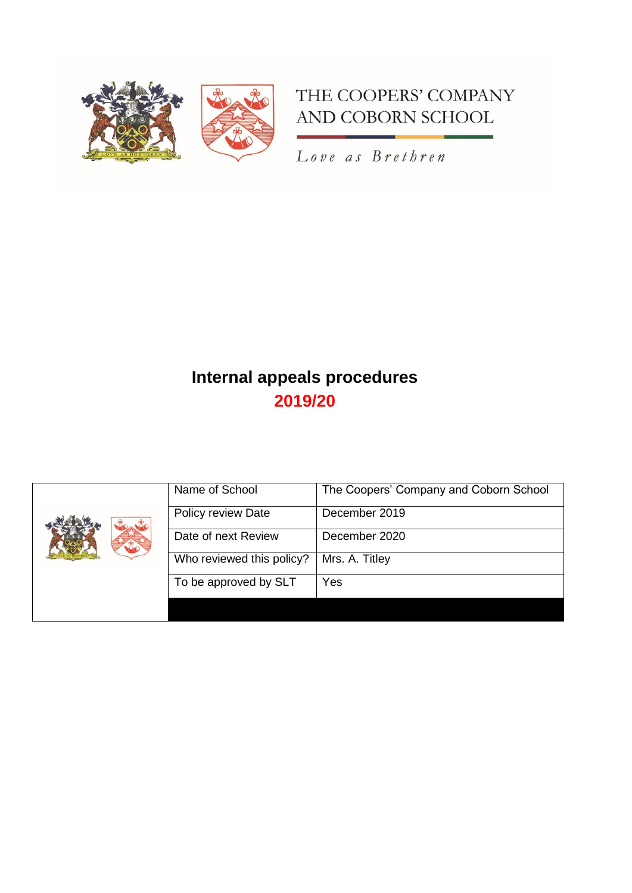

# THE COOPERS' COMPANY AND COBORN SCHOOL

Love as Brethren

# **Internal appeals procedures 2019/20**

| Name of School            | The Coopers' Company and Coborn School |
|---------------------------|----------------------------------------|
| Policy review Date        | December 2019                          |
| Date of next Review       | December 2020                          |
| Who reviewed this policy? | Mrs. A. Titley                         |
| To be approved by SLT     | Yes                                    |
|                           |                                        |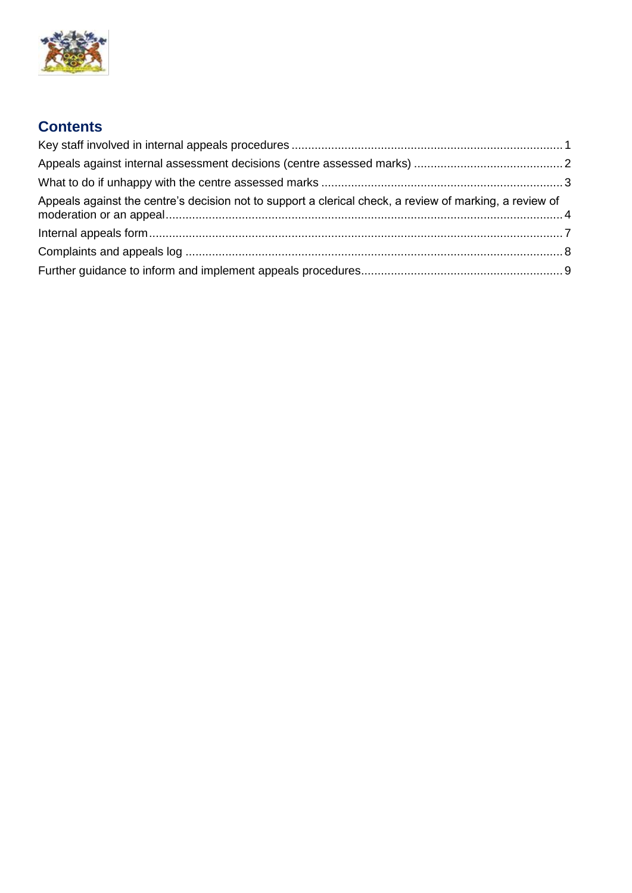

# **Contents**

| Appeals against the centre's decision not to support a clerical check, a review of marking, a review of |  |
|---------------------------------------------------------------------------------------------------------|--|
|                                                                                                         |  |
|                                                                                                         |  |
|                                                                                                         |  |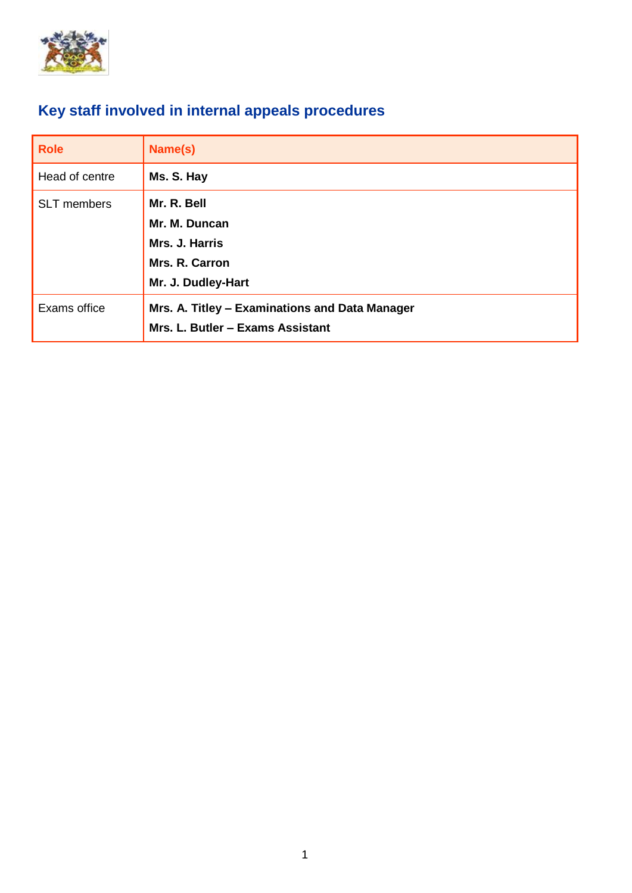

# <span id="page-2-0"></span>**Key staff involved in internal appeals procedures**

| <b>Role</b>    | Name(s)                                        |
|----------------|------------------------------------------------|
| Head of centre | Ms. S. Hay                                     |
| SLT members    | Mr. R. Bell                                    |
|                | Mr. M. Duncan                                  |
|                | Mrs. J. Harris                                 |
|                | Mrs. R. Carron                                 |
|                | Mr. J. Dudley-Hart                             |
| Exams office   | Mrs. A. Titley - Examinations and Data Manager |
|                | Mrs. L. Butler - Exams Assistant               |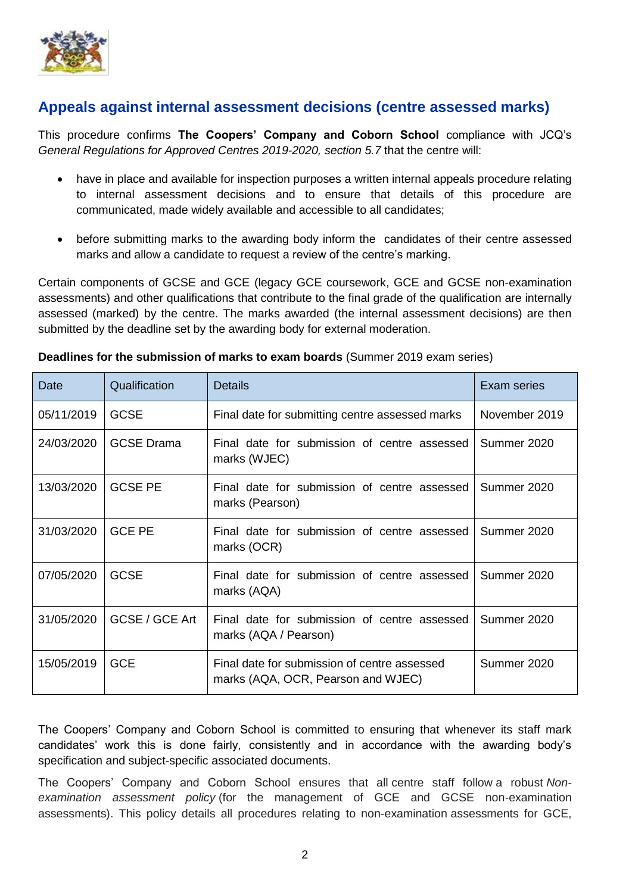

## <span id="page-3-0"></span>**Appeals against internal assessment decisions (centre assessed marks)**

This procedure confirms **The Coopers' Company and Coborn School** compliance with JCQ's *General Regulations for Approved Centres 2019-2020, section 5.7* that the centre will:

- have in place and available for inspection purposes a written internal appeals procedure relating to internal assessment decisions and to ensure that details of this procedure are communicated, made widely available and accessible to all candidates;
- before submitting marks to the awarding body inform the candidates of their centre assessed marks and allow a candidate to request a review of the centre's marking.

Certain components of GCSE and GCE (legacy GCE coursework, GCE and GCSE non-examination assessments) and other qualifications that contribute to the final grade of the qualification are internally assessed (marked) by the centre. The marks awarded (the internal assessment decisions) are then submitted by the deadline set by the awarding body for external moderation.

| Date       | Qualification     | <b>Details</b>                                                                     | Exam series   |
|------------|-------------------|------------------------------------------------------------------------------------|---------------|
| 05/11/2019 | <b>GCSE</b>       | Final date for submitting centre assessed marks                                    | November 2019 |
| 24/03/2020 | <b>GCSE Drama</b> | Final date for submission of centre assessed<br>marks (WJEC)                       | Summer 2020   |
| 13/03/2020 | <b>GCSE PE</b>    | Final date for submission of centre assessed<br>marks (Pearson)                    | Summer 2020   |
| 31/03/2020 | <b>GCE PE</b>     | Final date for submission of centre assessed<br>marks (OCR)                        | Summer 2020   |
| 07/05/2020 | <b>GCSE</b>       | Final date for submission of centre assessed<br>marks (AQA)                        | Summer 2020   |
| 31/05/2020 | GCSE / GCE Art    | Final date for submission of centre assessed<br>marks (AQA / Pearson)              | Summer 2020   |
| 15/05/2019 | <b>GCE</b>        | Final date for submission of centre assessed<br>marks (AQA, OCR, Pearson and WJEC) | Summer 2020   |

**Deadlines for the submission of marks to exam boards** (Summer 2019 exam series)

The Coopers' Company and Coborn School is committed to ensuring that whenever its staff mark candidates' work this is done fairly, consistently and in accordance with the awarding body's specification and subject-specific associated documents.

The Coopers' Company and Coborn School ensures that all centre staff follow a robust *Nonexamination assessment policy* (for the management of GCE and GCSE non-examination assessments). This policy details all procedures relating to non-examination assessments for GCE,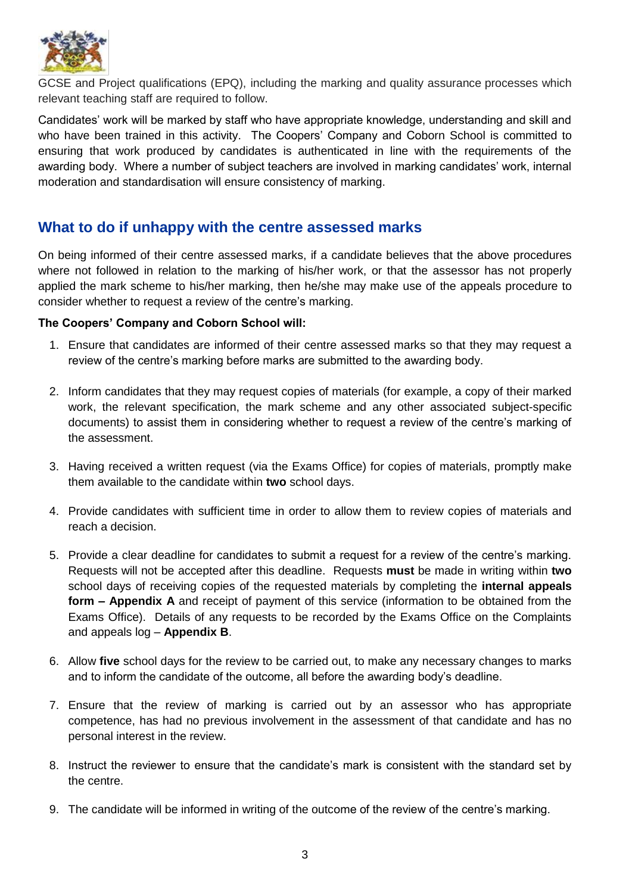

GCSE and Project qualifications (EPQ), including the marking and quality assurance processes which relevant teaching staff are required to follow.

Candidates' work will be marked by staff who have appropriate knowledge, understanding and skill and who have been trained in this activity. The Coopers' Company and Coborn School is committed to ensuring that work produced by candidates is authenticated in line with the requirements of the awarding body. Where a number of subject teachers are involved in marking candidates' work, internal moderation and standardisation will ensure consistency of marking.

## <span id="page-4-0"></span>**What to do if unhappy with the centre assessed marks**

On being informed of their centre assessed marks, if a candidate believes that the above procedures where not followed in relation to the marking of his/her work, or that the assessor has not properly applied the mark scheme to his/her marking, then he/she may make use of the appeals procedure to consider whether to request a review of the centre's marking.

#### **The Coopers' Company and Coborn School will:**

- 1. Ensure that candidates are informed of their centre assessed marks so that they may request a review of the centre's marking before marks are submitted to the awarding body.
- 2. Inform candidates that they may request copies of materials (for example, a copy of their marked work, the relevant specification, the mark scheme and any other associated subject-specific documents) to assist them in considering whether to request a review of the centre's marking of the assessment.
- 3. Having received a written request (via the Exams Office) for copies of materials, promptly make them available to the candidate within **two** school days.
- 4. Provide candidates with sufficient time in order to allow them to review copies of materials and reach a decision.
- 5. Provide a clear deadline for candidates to submit a request for a review of the centre's marking. Requests will not be accepted after this deadline. Requests **must** be made in writing within **two** school days of receiving copies of the requested materials by completing the **internal appeals form – Appendix A** and receipt of payment of this service (information to be obtained from the Exams Office). Details of any requests to be recorded by the Exams Office on the Complaints and appeals log – **Appendix B**.
- 6. Allow **five** school days for the review to be carried out, to make any necessary changes to marks and to inform the candidate of the outcome, all before the awarding body's deadline.
- 7. Ensure that the review of marking is carried out by an assessor who has appropriate competence, has had no previous involvement in the assessment of that candidate and has no personal interest in the review.
- 8. Instruct the reviewer to ensure that the candidate's mark is consistent with the standard set by the centre.
- 9. The candidate will be informed in writing of the outcome of the review of the centre's marking.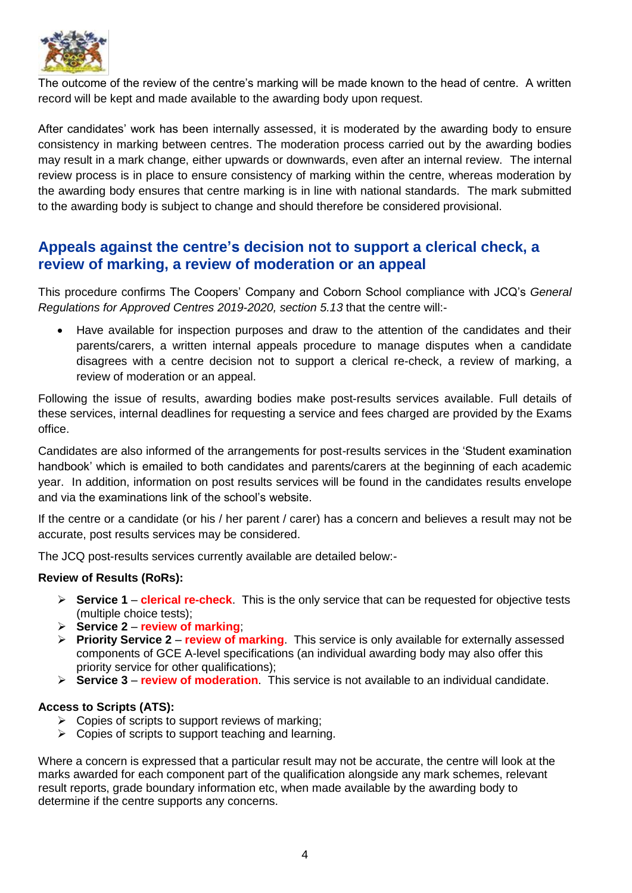

The outcome of the review of the centre's marking will be made known to the head of centre. A written record will be kept and made available to the awarding body upon request.

After candidates' work has been internally assessed, it is moderated by the awarding body to ensure consistency in marking between centres. The moderation process carried out by the awarding bodies may result in a mark change, either upwards or downwards, even after an internal review. The internal review process is in place to ensure consistency of marking within the centre, whereas moderation by the awarding body ensures that centre marking is in line with national standards. The mark submitted to the awarding body is subject to change and should therefore be considered provisional.

## <span id="page-5-0"></span>**Appeals against the centre's decision not to support a clerical check, a review of marking, a review of moderation or an appeal**

This procedure confirms The Coopers' Company and Coborn School compliance with JCQ's *General Regulations for Approved Centres 2019-2020, section 5.13* that the centre will:-

 Have available for inspection purposes and draw to the attention of the candidates and their parents/carers, a written internal appeals procedure to manage disputes when a candidate disagrees with a centre decision not to support a clerical re-check, a review of marking, a review of moderation or an appeal.

Following the issue of results, awarding bodies make post-results services available. Full details of these services, internal deadlines for requesting a service and fees charged are provided by the Exams office.

Candidates are also informed of the arrangements for post-results services in the 'Student examination handbook' which is emailed to both candidates and parents/carers at the beginning of each academic year. In addition, information on post results services will be found in the candidates results envelope and via the examinations link of the school's website.

If the centre or a candidate (or his / her parent / carer) has a concern and believes a result may not be accurate, post results services may be considered.

The JCQ post-results services currently available are detailed below:-

#### **Review of Results (RoRs):**

- **Service 1 clerical re-check**. This is the only service that can be requested for objective tests (multiple choice tests);
- **Service 2 review of marking**;
- **Priority Service 2 review of marking**. This service is only available for externally assessed components of GCE A-level specifications (an individual awarding body may also offer this priority service for other qualifications);
- **Service 3 review of moderation**. This service is not available to an individual candidate.

#### **Access to Scripts (ATS):**

- $\triangleright$  Copies of scripts to support reviews of marking;
- $\triangleright$  Copies of scripts to support teaching and learning.

Where a concern is expressed that a particular result may not be accurate, the centre will look at the marks awarded for each component part of the qualification alongside any mark schemes, relevant result reports, grade boundary information etc, when made available by the awarding body to determine if the centre supports any concerns.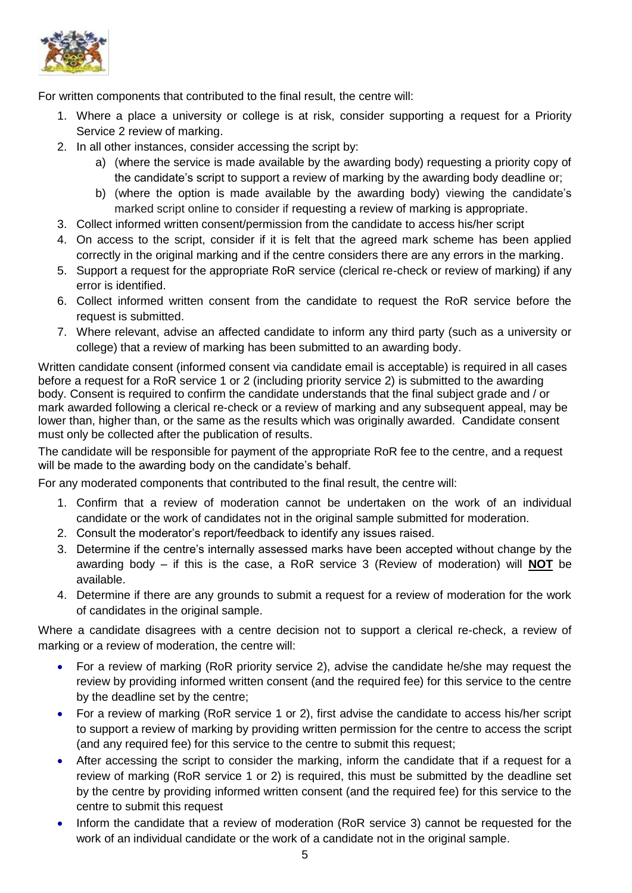

For written components that contributed to the final result, the centre will:

- 1. Where a place a university or college is at risk, consider supporting a request for a Priority Service 2 review of marking.
- 2. In all other instances, consider accessing the script by:
	- a) (where the service is made available by the awarding body) requesting a priority copy of the candidate's script to support a review of marking by the awarding body deadline or;
	- b) (where the option is made available by the awarding body) viewing the candidate's marked script online to consider if requesting a review of marking is appropriate.
- 3. Collect informed written consent/permission from the candidate to access his/her script
- 4. On access to the script, consider if it is felt that the agreed mark scheme has been applied correctly in the original marking and if the centre considers there are any errors in the marking.
- 5. Support a request for the appropriate RoR service (clerical re-check or review of marking) if any error is identified.
- 6. Collect informed written consent from the candidate to request the RoR service before the request is submitted.
- 7. Where relevant, advise an affected candidate to inform any third party (such as a university or college) that a review of marking has been submitted to an awarding body.

Written candidate consent (informed consent via candidate email is acceptable) is required in all cases before a request for a RoR service 1 or 2 (including priority service 2) is submitted to the awarding body. Consent is required to confirm the candidate understands that the final subject grade and / or mark awarded following a clerical re-check or a review of marking and any subsequent appeal, may be lower than, higher than, or the same as the results which was originally awarded. Candidate consent must only be collected after the publication of results.

The candidate will be responsible for payment of the appropriate RoR fee to the centre, and a request will be made to the awarding body on the candidate's behalf.

For any moderated components that contributed to the final result, the centre will:

- 1. Confirm that a review of moderation cannot be undertaken on the work of an individual candidate or the work of candidates not in the original sample submitted for moderation.
- 2. Consult the moderator's report/feedback to identify any issues raised.
- 3. Determine if the centre's internally assessed marks have been accepted without change by the awarding body – if this is the case, a RoR service 3 (Review of moderation) will **NOT** be available.
- 4. Determine if there are any grounds to submit a request for a review of moderation for the work of candidates in the original sample.

Where a candidate disagrees with a centre decision not to support a clerical re-check, a review of marking or a review of moderation, the centre will:

- For a review of marking (RoR priority service 2), advise the candidate he/she may request the review by providing informed written consent (and the required fee) for this service to the centre by the deadline set by the centre;
- For a review of marking (RoR service 1 or 2), first advise the candidate to access his/her script to support a review of marking by providing written permission for the centre to access the script (and any required fee) for this service to the centre to submit this request;
- After accessing the script to consider the marking, inform the candidate that if a request for a review of marking (RoR service 1 or 2) is required, this must be submitted by the deadline set by the centre by providing informed written consent (and the required fee) for this service to the centre to submit this request
- Inform the candidate that a review of moderation (RoR service 3) cannot be requested for the work of an individual candidate or the work of a candidate not in the original sample.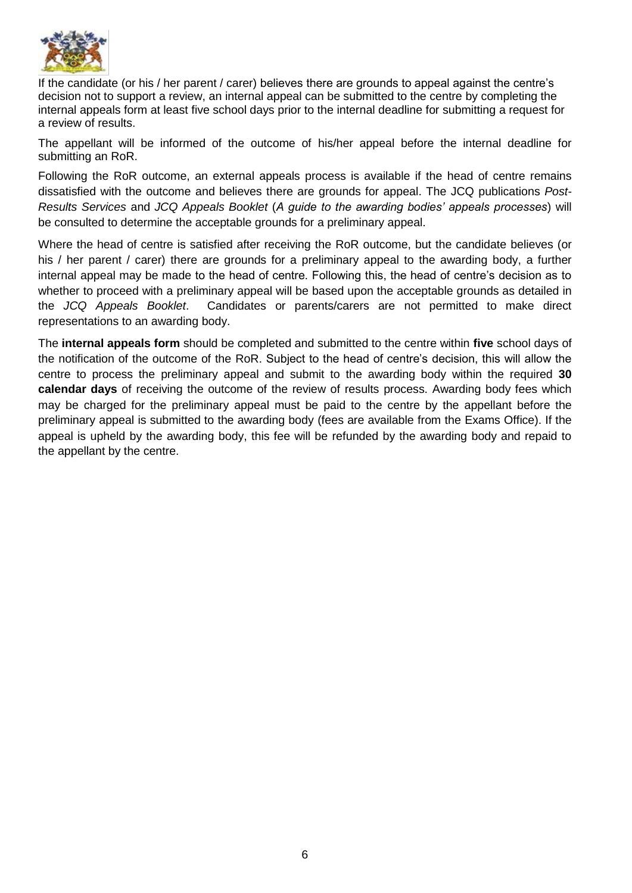

If the candidate (or his / her parent / carer) believes there are grounds to appeal against the centre's decision not to support a review, an internal appeal can be submitted to the centre by completing the internal appeals form at least five school days prior to the internal deadline for submitting a request for a review of results.

The appellant will be informed of the outcome of his/her appeal before the internal deadline for submitting an RoR.

Following the RoR outcome, an external appeals process is available if the head of centre remains dissatisfied with the outcome and believes there are grounds for appeal. The JCQ publications *Post-Results Services* and *JCQ Appeals Booklet* (*A guide to the awarding bodies' appeals processes*) will be consulted to determine the acceptable grounds for a preliminary appeal.

Where the head of centre is satisfied after receiving the RoR outcome, but the candidate believes (or his / her parent / carer) there are grounds for a preliminary appeal to the awarding body, a further internal appeal may be made to the head of centre. Following this, the head of centre's decision as to whether to proceed with a preliminary appeal will be based upon the acceptable grounds as detailed in the *JCQ Appeals Booklet*. Candidates or parents/carers are not permitted to make direct representations to an awarding body.

The **internal appeals form** should be completed and submitted to the centre within **five** school days of the notification of the outcome of the RoR. Subject to the head of centre's decision, this will allow the centre to process the preliminary appeal and submit to the awarding body within the required **30 calendar days** of receiving the outcome of the review of results process. Awarding body fees which may be charged for the preliminary appeal must be paid to the centre by the appellant before the preliminary appeal is submitted to the awarding body (fees are available from the Exams Office). If the appeal is upheld by the awarding body, this fee will be refunded by the awarding body and repaid to the appellant by the centre.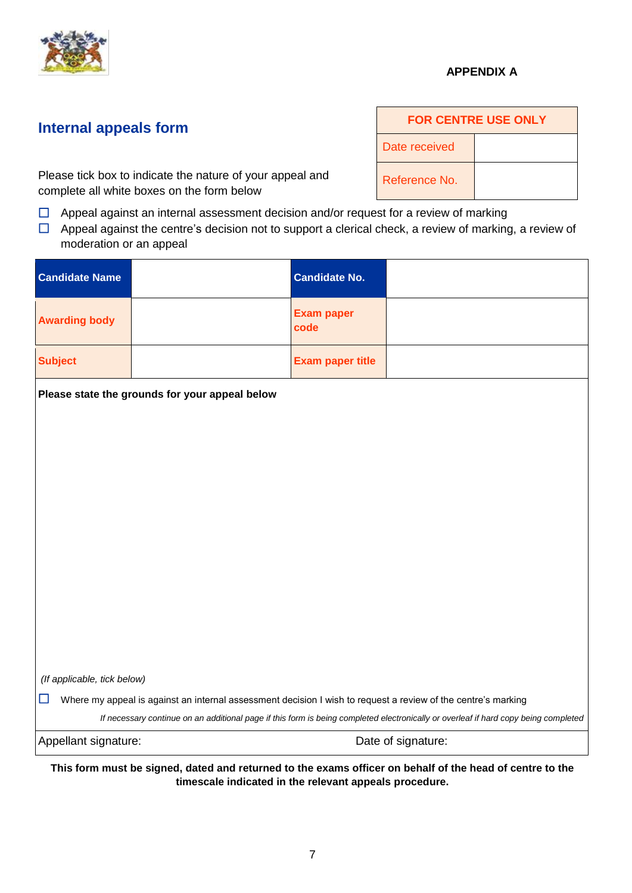

### **APPENDIX A**

## <span id="page-8-0"></span>**Internal appeals form**

Please tick box to indicate the nature of your appeal and complete all white boxes on the form below

- $\Box$  Appeal against an internal assessment decision and/or request for a review of marking
- $\Box$  Appeal against the centre's decision not to support a clerical check, a review of marking, a review of moderation or an appeal

| <b>Candidate Name</b>       | <b>Candidate No.</b>                                                                                                                                               |
|-----------------------------|--------------------------------------------------------------------------------------------------------------------------------------------------------------------|
| <b>Awarding body</b>        | <b>Exam paper</b><br>code                                                                                                                                          |
| <b>Subject</b>              | <b>Exam paper title</b>                                                                                                                                            |
|                             | Please state the grounds for your appeal below                                                                                                                     |
|                             |                                                                                                                                                                    |
|                             |                                                                                                                                                                    |
|                             |                                                                                                                                                                    |
|                             |                                                                                                                                                                    |
|                             |                                                                                                                                                                    |
|                             |                                                                                                                                                                    |
|                             |                                                                                                                                                                    |
|                             |                                                                                                                                                                    |
| (If applicable, tick below) |                                                                                                                                                                    |
| $\Box$                      | Where my appeal is against an internal assessment decision I wish to request a review of the centre's marking                                                      |
|                             | If necessary continue on an additional page if this form is being completed electronically or overleaf if hard copy being completed                                |
| Appellant signature:        | Date of signature:                                                                                                                                                 |
|                             | This form must be signed, dated and returned to the exams officer on behalf of the head of centre to the<br>timescale indicated in the relevant appeals procedure. |

| <b>FOR CENTRE USE ONLY</b> |  |  |
|----------------------------|--|--|
| Date received              |  |  |
| Reference No.              |  |  |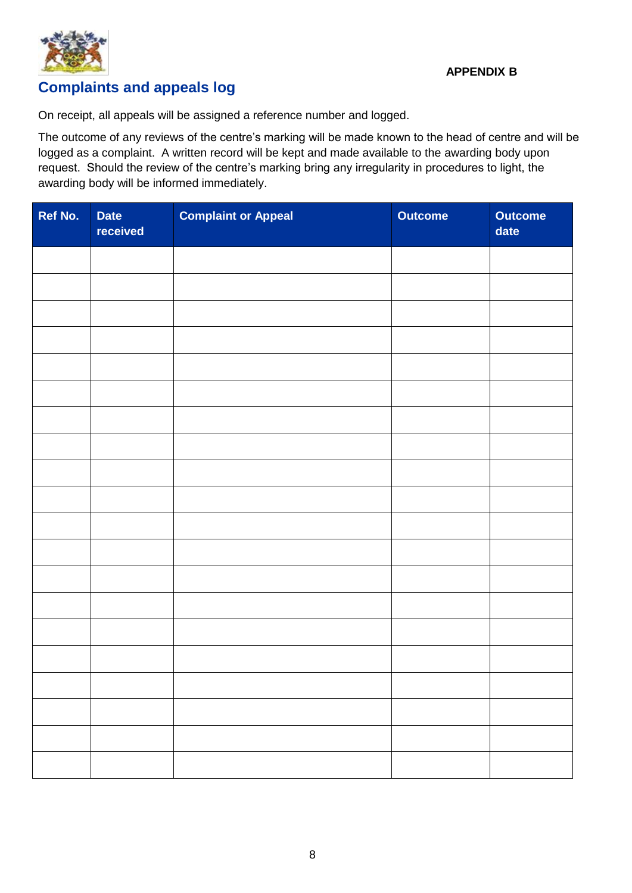

# <span id="page-9-0"></span>**Complaints and appeals log**

On receipt, all appeals will be assigned a reference number and logged.

The outcome of any reviews of the centre's marking will be made known to the head of centre and will be logged as a complaint. A written record will be kept and made available to the awarding body upon request. Should the review of the centre's marking bring any irregularity in procedures to light, the awarding body will be informed immediately.

| Ref No. | <b>Date</b><br>received | <b>Complaint or Appeal</b> | Outcome | <b>Outcome</b><br>date |
|---------|-------------------------|----------------------------|---------|------------------------|
|         |                         |                            |         |                        |
|         |                         |                            |         |                        |
|         |                         |                            |         |                        |
|         |                         |                            |         |                        |
|         |                         |                            |         |                        |
|         |                         |                            |         |                        |
|         |                         |                            |         |                        |
|         |                         |                            |         |                        |
|         |                         |                            |         |                        |
|         |                         |                            |         |                        |
|         |                         |                            |         |                        |
|         |                         |                            |         |                        |
|         |                         |                            |         |                        |
|         |                         |                            |         |                        |
|         |                         |                            |         |                        |
|         |                         |                            |         |                        |
|         |                         |                            |         |                        |
|         |                         |                            |         |                        |
|         |                         |                            |         |                        |
|         |                         |                            |         |                        |